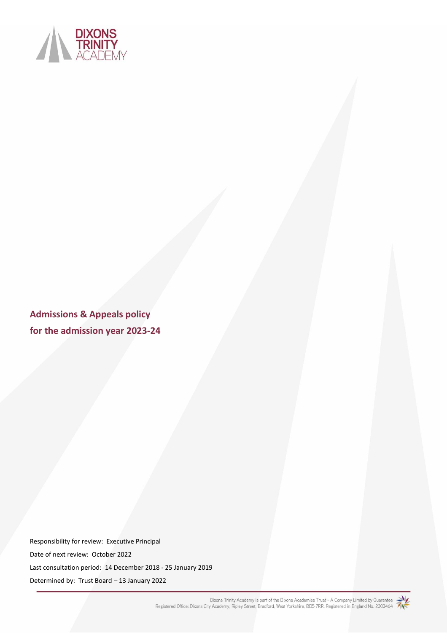

**Admissions & Appeals policy for the admission year 2023-24**

Responsibility for review: Executive Principal Date of next review: October 2022 Last consultation period: 14 December 2018 - 25 January 2019 Determined by: Trust Board – 13 January 2022

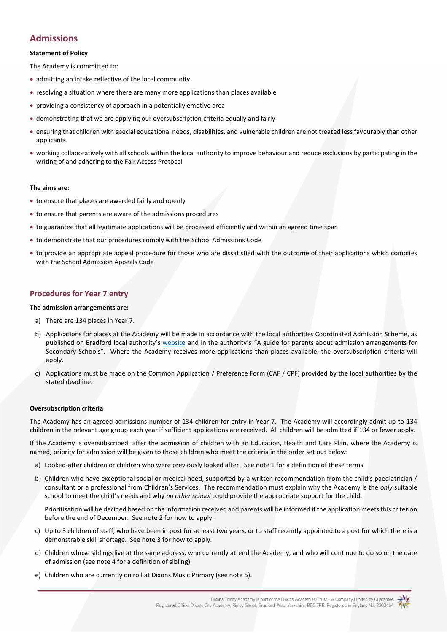# **Admissions**

## **Statement of Policy**

The Academy is committed to:

- admitting an intake reflective of the local community
- resolving a situation where there are many more applications than places available
- providing a consistency of approach in a potentially emotive area
- demonstrating that we are applying our oversubscription criteria equally and fairly
- ensuring that children with special educational needs, disabilities, and vulnerable children are not treated less favourably than other applicants
- working collaboratively with all schools within the local authority to improve behaviour and reduce exclusions by participating in the writing of and adhering to the Fair Access Protocol

#### **The aims are:**

- to ensure that places are awarded fairly and openly
- to ensure that parents are aware of the admissions procedures
- to guarantee that all legitimate applications will be processed efficiently and within an agreed time span
- to demonstrate that our procedures comply with the School Admissions Code
- to provide an appropriate appeal procedure for those who are dissatisfied with the outcome of their applications which complies with the School Admission Appeals Code

## **Procedures for Year 7 entry**

#### **The admission arrangements are:**

- a) There are 134 places in Year 7.
- b) Applications for places at the Academy will be made in accordance with the local authorities Coordinated Admission Scheme, as published on Bradford local authority's [website](https://www.bradford.gov.uk/education-and-skills/school-admissions/admission-arrangements/) and in the authority's "A guide for parents about admission arrangements for Secondary Schools". Where the Academy receives more applications than places available, the oversubscription criteria will apply.
- c) Applications must be made on the Common Application / Preference Form (CAF / CPF) provided by the local authorities by the stated deadline.

### **Oversubscription criteria**

The Academy has an agreed admissions number of 134 children for entry in Year 7. The Academy will accordingly admit up to 134 children in the relevant age group each year if sufficient applications are received. All children will be admitted if 134 or fewer apply.

If the Academy is oversubscribed, after the admission of children with an Education, Health and Care Plan, where the Academy is named, priority for admission will be given to those children who meet the criteria in the order set out below:

- a) Looked-after children or children who were previously looked after. See note 1 for a definition of these terms.
- b) Children who have exceptional social or medical need, supported by a written recommendation from the child's paediatrician / consultant or a professional from Children's Services. The recommendation must explain why the Academy is the *only* suitable school to meet the child's needs and why *no other school* could provide the appropriate support for the child.

Prioritisation will be decided based on the information received and parents will be informed if the application meets this criterion before the end of December. See note 2 for how to apply.

- c) Up to 3 children of staff, who have been in post for at least two years, or to staff recently appointed to a post for which there is a demonstrable skill shortage. See note 3 for how to apply.
- d) Children whose siblings live at the same address, who currently attend the Academy, and who will continue to do so on the date of admission (see note 4 for a definition of sibling).
- e) Children who are currently on roll at Dixons Music Primary (see note 5).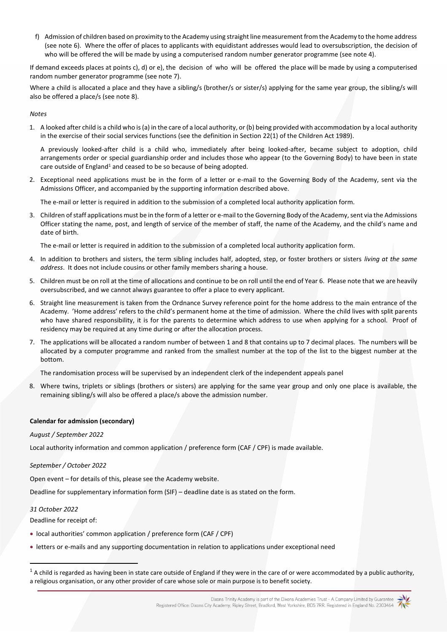f) Admission of children based on proximity to the Academy using straight line measurement from the Academy to the home address (see note 6). Where the offer of places to applicants with equidistant addresses would lead to oversubscription, the decision of who will be offered the will be made by using a computerised random number generator programme (see note 4).

If demand exceeds places at points c), d) or e), the decision of who will be offered the place will be made by using a computerised random number generator programme (see note 7).

Where a child is allocated a place and they have a sibling/s (brother/s or sister/s) applying for the same year group, the sibling/s will also be offered a place/s (see note 8).

*Notes*

1. A looked after child is a child who is (a) in the care of a local authority, or (b) being provided with accommodation by a local authority in the exercise of their social services functions (see the definition in Section 22(1) of the Children Act 1989).

A previously looked-after child is a child who, immediately after being looked-after, became subject to adoption, child arrangements order or special guardianship order and includes those who appear (to the Governing Body) to have been in state care outside of England<sup>1</sup> and ceased to be so because of being adopted.

2. Exceptional need applications must be in the form of a letter or e-mail to the Governing Body of the Academy, sent via the Admissions Officer, and accompanied by the supporting information described above.

The e-mail or letter is required in addition to the submission of a completed local authority application form.

3. Children of staff applications must be in the form of a letter or e-mail to the Governing Body of the Academy, sent via the Admissions Officer stating the name, post, and length of service of the member of staff, the name of the Academy, and the child's name and date of birth.

The e-mail or letter is required in addition to the submission of a completed local authority application form.

- 4. In addition to brothers and sisters, the term sibling includes half, adopted, step, or foster brothers or sisters *living at the same address*. It does not include cousins or other family members sharing a house.
- 5. Children must be on roll at the time of allocations and continue to be on roll until the end of Year 6. Please note that we are heavily oversubscribed, and we cannot always guarantee to offer a place to every applicant.
- 6. Straight line measurement is taken from the Ordnance Survey reference point for the home address to the main entrance of the Academy. 'Home address' refers to the child's permanent home at the time of admission. Where the child lives with split parents who have shared responsibility, it is for the parents to determine which address to use when applying for a school. Proof of residency may be required at any time during or after the allocation process.
- 7. The applications will be allocated a random number of between 1 and 8 that contains up to 7 decimal places. The numbers will be allocated by a computer programme and ranked from the smallest number at the top of the list to the biggest number at the bottom.

The randomisation process will be supervised by an independent clerk of the independent appeals panel

8. Where twins, triplets or siblings (brothers or sisters) are applying for the same year group and only one place is available, the remaining sibling/s will also be offered a place/s above the admission number.

# **Calendar for admission (secondary)**

*August / September 2022*

Local authority information and common application / preference form (CAF / CPF) is made available.

# *September / October 2022*

Open event – for details of this, please see the Academy website.

Deadline for supplementary information form (SIF) – deadline date is as stated on the form.

## *31 October 2022*

Deadline for receipt of:

- local authorities' common application / preference form (CAF / CPF)
- letters or e-mails and any supporting documentation in relation to applications under exceptional need

 $1$  A child is regarded as having been in state care outside of England if they were in the care of or were accommodated by a public authority, a religious organisation, or any other provider of care whose sole or main purpose is to benefit society.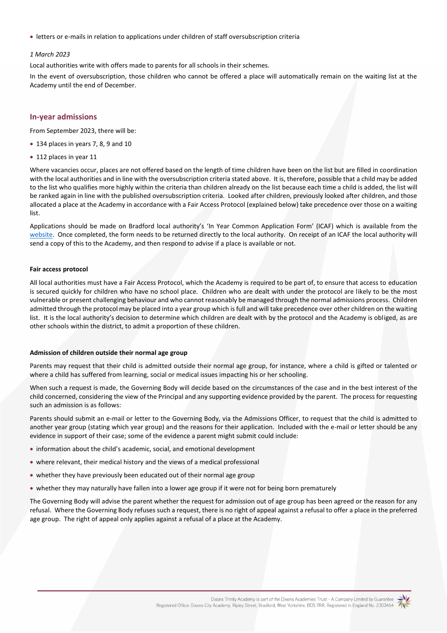• letters or e-mails in relation to applications under children of staff oversubscription criteria

### *1 March 2023*

Local authorities write with offers made to parents for all schools in their schemes.

In the event of oversubscription, those children who cannot be offered a place will automatically remain on the waiting list at the Academy until the end of December.

### **In-year admissions**

From September 2023, there will be:

- 134 places in years 7, 8, 9 and 10
- 112 places in year 11

Where vacancies occur, places are not offered based on the length of time children have been on the list but are filled in coordination with the local authorities and in line with the oversubscription criteria stated above. It is, therefore, possible that a child may be added to the list who qualifies more highly within the criteria than children already on the list because each time a child is added, the list will be ranked again in line with the published oversubscription criteria. Looked after children, previously looked after children, and those allocated a place at the Academy in accordance with a Fair Access Protocol (explained below) take precedence over those on a waiting list.

Applications should be made on Bradford local authority's 'In Year Common Application Form' (ICAF) which is available from the [website.](https://www.bradford.gov.uk/education-and-skills/school-admissions/in-year-applications/) Once completed, the form needs to be returned directly to the local authority. On receipt of an ICAF the local authority will send a copy of this to the Academy, and then respond to advise if a place is available or not.

#### **Fair access protocol**

All local authorities must have a Fair Access Protocol, which the Academy is required to be part of, to ensure that access to education is secured quickly for children who have no school place. Children who are dealt with under the protocol are likely to be the most vulnerable or present challenging behaviour and who cannot reasonably be managed through the normal admissions process. Children admitted through the protocol may be placed into a year group which is full and will take precedence over other children on the waiting list. It is the local authority's decision to determine which children are dealt with by the protocol and the Academy is obliged, as are other schools within the district, to admit a proportion of these children.

## **Admission of children outside their normal age group**

Parents may request that their child is admitted outside their normal age group, for instance, where a child is gifted or talented or where a child has suffered from learning, social or medical issues impacting his or her schooling.

When such a request is made, the Governing Body will decide based on the circumstances of the case and in the best interest of the child concerned, considering the view of the Principal and any supporting evidence provided by the parent. The process for requesting such an admission is as follows:

Parents should submit an e-mail or letter to the Governing Body, via the Admissions Officer, to request that the child is admitted to another year group (stating which year group) and the reasons for their application. Included with the e-mail or letter should be any evidence in support of their case; some of the evidence a parent might submit could include:

- information about the child's academic, social, and emotional development
- where relevant, their medical history and the views of a medical professional
- whether they have previously been educated out of their normal age group
- whether they may naturally have fallen into a lower age group if it were not for being born prematurely

The Governing Body will advise the parent whether the request for admission out of age group has been agreed or the reason for any refusal. Where the Governing Body refuses such a request, there is no right of appeal against a refusal to offer a place in the preferred age group. The right of appeal only applies against a refusal of a place at the Academy.